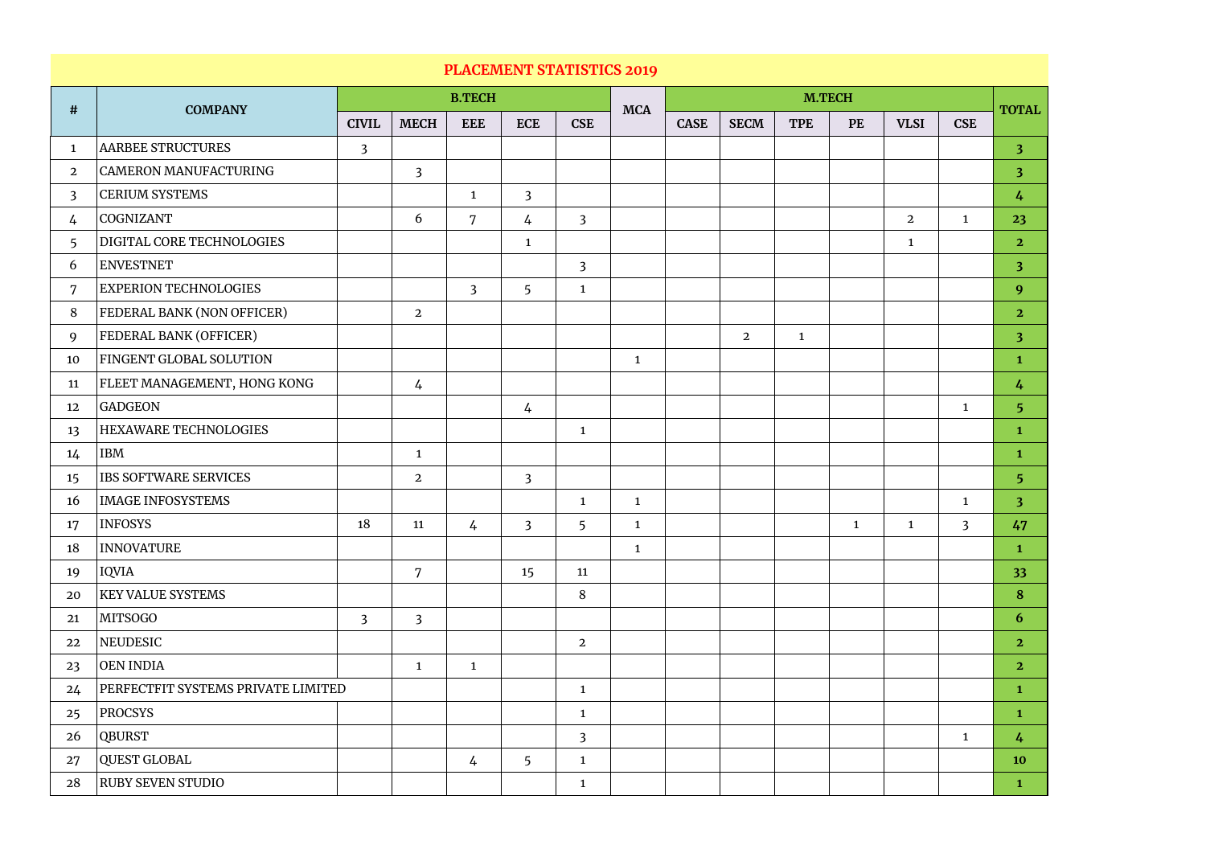| <b>PLACEMENT STATISTICS 2019</b> |                                           |                |                |                |                 |                |              |               |                |              |              |                |                |                         |
|----------------------------------|-------------------------------------------|----------------|----------------|----------------|-----------------|----------------|--------------|---------------|----------------|--------------|--------------|----------------|----------------|-------------------------|
| #                                | <b>COMPANY</b>                            |                |                | <b>B.TECH</b>  |                 |                |              | <b>M.TECH</b> |                |              |              |                |                |                         |
|                                  |                                           | <b>CIVIL</b>   | <b>MECH</b>    | <b>EEE</b>     | <b>ECE</b>      | <b>CSE</b>     | <b>MCA</b>   | <b>CASE</b>   | <b>SECM</b>    | <b>TPE</b>   | <b>PE</b>    | <b>VLSI</b>    | <b>CSE</b>     | <b>TOTAL</b>            |
| $\mathbf{1}$                     | AARBEE STRUCTURES                         | $\overline{3}$ |                |                |                 |                |              |               |                |              |              |                |                | $\overline{\mathbf{3}}$ |
| $\overline{2}$                   | CAMERON MANUFACTURING                     |                | $\overline{3}$ |                |                 |                |              |               |                |              |              |                |                | 3 <sup>2</sup>          |
| $\overline{3}$                   | <b>CERIUM SYSTEMS</b>                     |                |                | $\mathbf{1}$   | $\overline{3}$  |                |              |               |                |              |              |                |                | $\frac{1}{4}$           |
| 4                                | COGNIZANT                                 |                | 6              | 7              | $\frac{1}{4}$   | $\overline{3}$ |              |               |                |              |              | $\overline{2}$ | $\mathbf{1}$   | 23                      |
| $\overline{5}$                   | DIGITAL CORE TECHNOLOGIES                 |                |                |                | $\mathbf{1}$    |                |              |               |                |              |              | $\mathbf{1}$   |                | $\overline{2}$          |
| 6                                | ENVESTNET                                 |                |                |                |                 | 3 <sup>2</sup> |              |               |                |              |              |                |                | 3 <sup>2</sup>          |
| 7                                | <b>EXPERION TECHNOLOGIES</b>              |                |                | $\overline{3}$ | $5\overline{)}$ | $\mathbf{1}$   |              |               |                |              |              |                |                | 9                       |
| 8                                | <b>FEDERAL BANK (NON OFFICER)</b>         |                | $\overline{2}$ |                |                 |                |              |               |                |              |              |                |                | $\overline{2}$          |
| 9                                | <b>FEDERAL BANK (OFFICER)</b>             |                |                |                |                 |                |              |               | $\overline{2}$ | $\mathbf{1}$ |              |                |                | $\overline{\mathbf{3}}$ |
| 10                               | FINGENT GLOBAL SOLUTION                   |                |                |                |                 |                | $\mathbf{1}$ |               |                |              |              |                |                | $\mathbf{1}$            |
| 11                               | FLEET MANAGEMENT, HONG KONG               |                | $\frac{1}{4}$  |                |                 |                |              |               |                |              |              |                |                | $\frac{1}{4}$           |
| 12                               | GADGEON                                   |                |                |                | $\frac{1}{4}$   |                |              |               |                |              |              |                | $\mathbf{1}$   | 5                       |
| 13                               | <b>HEXAWARE TECHNOLOGIES</b>              |                |                |                |                 | $\mathbf{1}$   |              |               |                |              |              |                |                | $\mathbf{1}$            |
| 14                               | IBM                                       |                | $\mathbf{1}$   |                |                 |                |              |               |                |              |              |                |                | $\mathbf{1}$            |
| 15                               | <b>IBS SOFTWARE SERVICES</b>              |                | $\overline{2}$ |                | $\overline{3}$  |                |              |               |                |              |              |                |                | 5                       |
| 16                               | <b>IMAGE INFOSYSTEMS</b>                  |                |                |                |                 | 1              | $\mathbf{1}$ |               |                |              |              |                | $\mathbf{1}$   | $\overline{\mathbf{3}}$ |
| 17                               | INFOSYS                                   | 18             | 11             | $\frac{1}{4}$  | $\overline{3}$  | 5              | $\mathbf{1}$ |               |                |              | $\mathbf{1}$ | $\mathbf{1}$   | $\overline{3}$ | 47                      |
| 18                               | INNOVATURE                                |                |                |                |                 |                | $\mathbf{1}$ |               |                |              |              |                |                | $\mathbf{1}$            |
| 19                               | IQVIA                                     |                | $\overline{7}$ |                | 15              | 11             |              |               |                |              |              |                |                | 33                      |
| 20                               | <b>KEY VALUE SYSTEMS</b>                  |                |                |                |                 | 8              |              |               |                |              |              |                |                | 8                       |
| 21                               | MITSOGO                                   | $\overline{3}$ | $\overline{3}$ |                |                 |                |              |               |                |              |              |                |                | 6                       |
| 22                               | NEUDESIC                                  |                |                |                |                 | $\overline{2}$ |              |               |                |              |              |                |                | $\overline{2}$          |
| 23                               | OEN INDIA                                 |                | $\mathbf{1}$   | $\mathbf{1}$   |                 |                |              |               |                |              |              |                |                | $\overline{2}$          |
| 24                               | <b>PERFECTFIT SYSTEMS PRIVATE LIMITED</b> |                |                |                |                 | $\mathbf{1}$   |              |               |                |              |              |                |                | $\mathbf{1}$            |
| 25                               | PROCSYS                                   |                |                |                |                 | $\mathbf{1}$   |              |               |                |              |              |                |                | $\mathbf{1}$            |
| 26                               | <b>QBURST</b>                             |                |                |                |                 | $\overline{3}$ |              |               |                |              |              |                | $\mathbf{1}$   | $\frac{1}{4}$           |
| 27                               | QUEST GLOBAL                              |                |                | 4              | 5 <sup>5</sup>  | $\mathbf{1}$   |              |               |                |              |              |                |                | <b>10</b>               |
| 28                               | <b>RUBY SEVEN STUDIO</b>                  |                |                |                |                 | $\mathbf{1}$   |              |               |                |              |              |                |                | $\mathbf{1}$            |